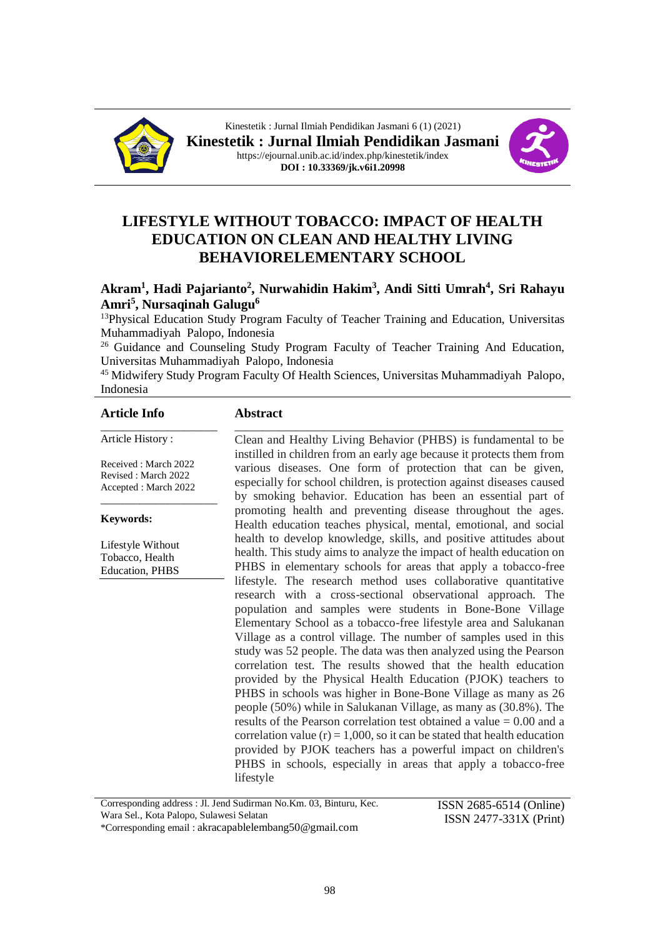



# **LIFESTYLE WITHOUT TOBACCO: IMPACT OF HEALTH EDUCATION ON CLEAN AND HEALTHY LIVING BEHAVIORELEMENTARY SCHOOL**

### **Akram<sup>1</sup> , Hadi Pajarianto<sup>2</sup> , Nurwahidin Hakim<sup>3</sup> , Andi Sitti Umrah<sup>4</sup> , Sri Rahayu Amri<sup>5</sup> , Nursaqinah Galugu<sup>6</sup>**

<sup>13</sup>Physical Education Study Program Faculty of Teacher Training and Education, Universitas Muhammadiyah Palopo, Indonesia

<sup>26</sup> Guidance and Counseling Study Program Faculty of Teacher Training And Education, Universitas Muhammadiyah Palopo, Indonesia

<sup>45</sup> Midwifery Study Program Faculty Of Health Sciences, Universitas Muhammadiyah Palopo, Indonesia

**Abstract**

#### **Article Info**

\_\_\_\_\_\_\_\_\_\_\_\_\_\_\_\_\_\_\_\_\_ Article History :

Received : March 2022 Revised : March 2022 Accepted : March 2022

\_\_\_\_\_\_\_\_\_\_\_\_\_\_\_\_\_\_\_\_\_

#### **Keywords:**

Lifestyle Without Tobacco, Health Education, PHBS

Clean and Healthy Living Behavior (PHBS) is fundamental to be instilled in children from an early age because it protects them from various diseases. One form of protection that can be given, especially for school children, is protection against diseases caused by smoking behavior. Education has been an essential part of promoting health and preventing disease throughout the ages. Health education teaches physical, mental, emotional, and social health to develop knowledge, skills, and positive attitudes about health. This study aims to analyze the impact of health education on PHBS in elementary schools for areas that apply a tobacco-free lifestyle. The research method uses collaborative quantitative research with a cross-sectional observational approach. The population and samples were students in Bone-Bone Village Elementary School as a tobacco-free lifestyle area and Salukanan Village as a control village. The number of samples used in this study was 52 people. The data was then analyzed using the Pearson correlation test. The results showed that the health education provided by the Physical Health Education (PJOK) teachers to PHBS in schools was higher in Bone-Bone Village as many as 26 people (50%) while in Salukanan Village, as many as (30.8%). The results of the Pearson correlation test obtained a value = 0.00 and a correlation value  $(r) = 1,000$ , so it can be stated that health education provided by PJOK teachers has a powerful impact on children's PHBS in schools, especially in areas that apply a tobacco-free lifestyle

\_\_\_\_\_\_\_\_\_\_\_\_\_\_\_\_\_\_\_\_\_\_\_\_\_\_\_\_\_\_\_\_\_\_\_\_\_\_\_\_\_\_\_\_\_\_\_\_\_\_\_\_\_\_\_\_\_\_\_

Corresponding address : Jl. Jend Sudirman No.Km. 03, Binturu, Kec. Wara Sel., Kota Palopo, Sulawesi Selatan

\*Corresponding email : [akracapablelembang50@gmail.com](mailto:akramampulembang50@gmail.com)

ISSN 2685-6514 (Online) ISSN 2477-331X (Print)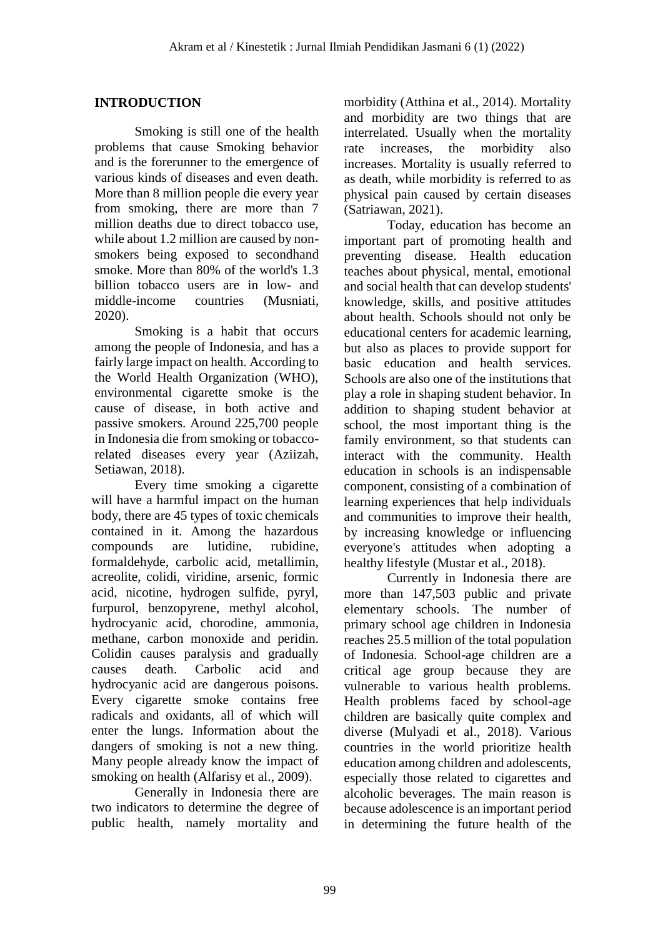### **INTRODUCTION**

Smoking is still one of the health problems that cause Smoking behavior and is the forerunner to the emergence of various kinds of diseases and even death. More than 8 million people die every year from smoking, there are more than 7 million deaths due to direct tobacco use, while about 1.2 million are caused by nonsmokers being exposed to secondhand smoke. More than 80% of the world's 1.3 billion tobacco users are in low- and middle-income countries (Musniati, 2020).

Smoking is a habit that occurs among the people of Indonesia, and has a fairly large impact on health. According to the World Health Organization (WHO), environmental cigarette smoke is the cause of disease, in both active and passive smokers. Around 225,700 people in Indonesia die from smoking or tobaccorelated diseases every year (Aziizah, Setiawan, 2018).

Every time smoking a cigarette will have a harmful impact on the human body, there are 45 types of toxic chemicals contained in it. Among the hazardous compounds are lutidine, rubidine, formaldehyde, carbolic acid, metallimin, acreolite, colidi, viridine, arsenic, formic acid, nicotine, hydrogen sulfide, pyryl, furpurol, benzopyrene, methyl alcohol, hydrocyanic acid, chorodine, ammonia, methane, carbon monoxide and peridin. Colidin causes paralysis and gradually causes death. Carbolic acid and hydrocyanic acid are dangerous poisons. Every cigarette smoke contains free radicals and oxidants, all of which will enter the lungs. Information about the dangers of smoking is not a new thing. Many people already know the impact of smoking on health (Alfarisy et al., 2009).

Generally in Indonesia there are two indicators to determine the degree of public health, namely mortality and morbidity (Atthina et al., 2014). Mortality and morbidity are two things that are interrelated. Usually when the mortality rate increases, the morbidity also increases. Mortality is usually referred to as death, while morbidity is referred to as physical pain caused by certain diseases (Satriawan, 2021).

Today, education has become an important part of promoting health and preventing disease. Health education teaches about physical, mental, emotional and social health that can develop students' knowledge, skills, and positive attitudes about health. Schools should not only be educational centers for academic learning, but also as places to provide support for basic education and health services. Schools are also one of the institutions that play a role in shaping student behavior. In addition to shaping student behavior at school, the most important thing is the family environment, so that students can interact with the community. Health education in schools is an indispensable component, consisting of a combination of learning experiences that help individuals and communities to improve their health, by increasing knowledge or influencing everyone's attitudes when adopting a healthy lifestyle (Mustar et al., 2018).

Currently in Indonesia there are more than 147,503 public and private elementary schools. The number of primary school age children in Indonesia reaches 25.5 million of the total population of Indonesia. School-age children are a critical age group because they are vulnerable to various health problems. Health problems faced by school-age children are basically quite complex and diverse (Mulyadi et al., 2018). Various countries in the world prioritize health education among children and adolescents, especially those related to cigarettes and alcoholic beverages. The main reason is because adolescence is an important period in determining the future health of the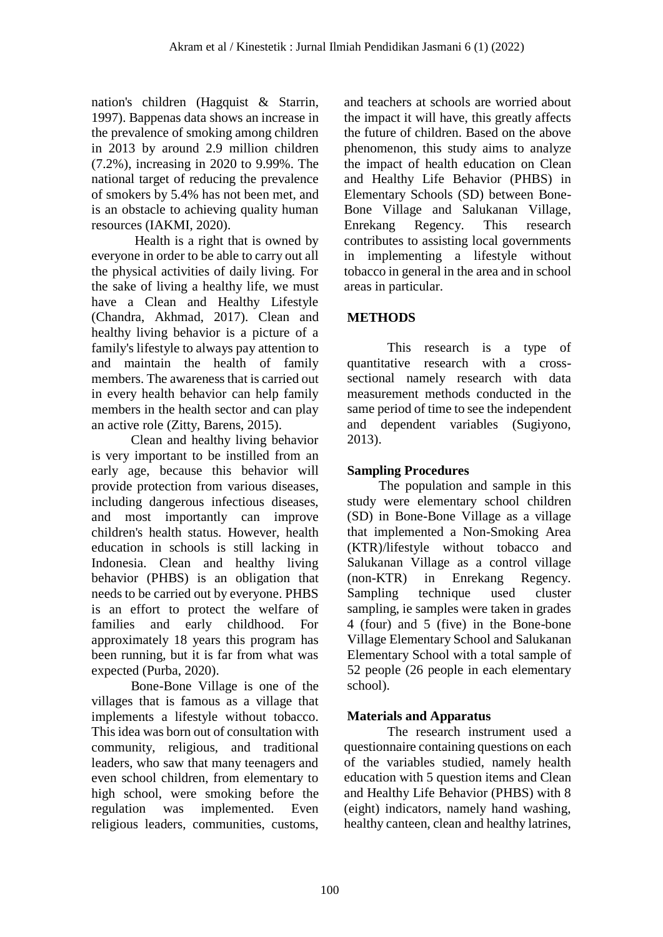nation's children (Hagquist & Starrin, 1997). Bappenas data shows an increase in the prevalence of smoking among children in 2013 by around 2.9 million children (7.2%), increasing in 2020 to 9.99%. The national target of reducing the prevalence of smokers by 5.4% has not been met, and is an obstacle to achieving quality human resources (IAKMI, 2020).

Health is a right that is owned by everyone in order to be able to carry out all the physical activities of daily living. For the sake of living a healthy life, we must have a Clean and Healthy Lifestyle (Chandra, Akhmad, 2017). Clean and healthy living behavior is a picture of a family's lifestyle to always pay attention to and maintain the health of family members. The awareness that is carried out in every health behavior can help family members in the health sector and can play an active role (Zitty, Barens, 2015).

Clean and healthy living behavior is very important to be instilled from an early age, because this behavior will provide protection from various diseases, including dangerous infectious diseases, and most importantly can improve children's health status. However, health education in schools is still lacking in Indonesia. Clean and healthy living behavior (PHBS) is an obligation that needs to be carried out by everyone. PHBS is an effort to protect the welfare of families and early childhood. For approximately 18 years this program has been running, but it is far from what was expected (Purba, 2020).

Bone-Bone Village is one of the villages that is famous as a village that implements a lifestyle without tobacco. This idea was born out of consultation with community, religious, and traditional leaders, who saw that many teenagers and even school children, from elementary to high school, were smoking before the regulation was implemented. Even religious leaders, communities, customs,

and teachers at schools are worried about the impact it will have, this greatly affects the future of children. Based on the above phenomenon, this study aims to analyze the impact of health education on Clean and Healthy Life Behavior (PHBS) in Elementary Schools (SD) between Bone-Bone Village and Salukanan Village, Enrekang Regency. This research contributes to assisting local governments in implementing a lifestyle without tobacco in general in the area and in school areas in particular.

# **METHODS**

This research is a type of quantitative research with a crosssectional namely research with data measurement methods conducted in the same period of time to see the independent and dependent variables (Sugiyono, 2013).

# **Sampling Procedures**

The population and sample in this study were elementary school children (SD) in Bone-Bone Village as a village that implemented a Non-Smoking Area (KTR)/lifestyle without tobacco and Salukanan Village as a control village (non-KTR) in Enrekang Regency. Sampling technique used cluster sampling, ie samples were taken in grades 4 (four) and 5 (five) in the Bone-bone Village Elementary School and Salukanan Elementary School with a total sample of 52 people (26 people in each elementary school).

# **Materials and Apparatus**

The research instrument used a questionnaire containing questions on each of the variables studied, namely health education with 5 question items and Clean and Healthy Life Behavior (PHBS) with 8 (eight) indicators, namely hand washing, healthy canteen, clean and healthy latrines,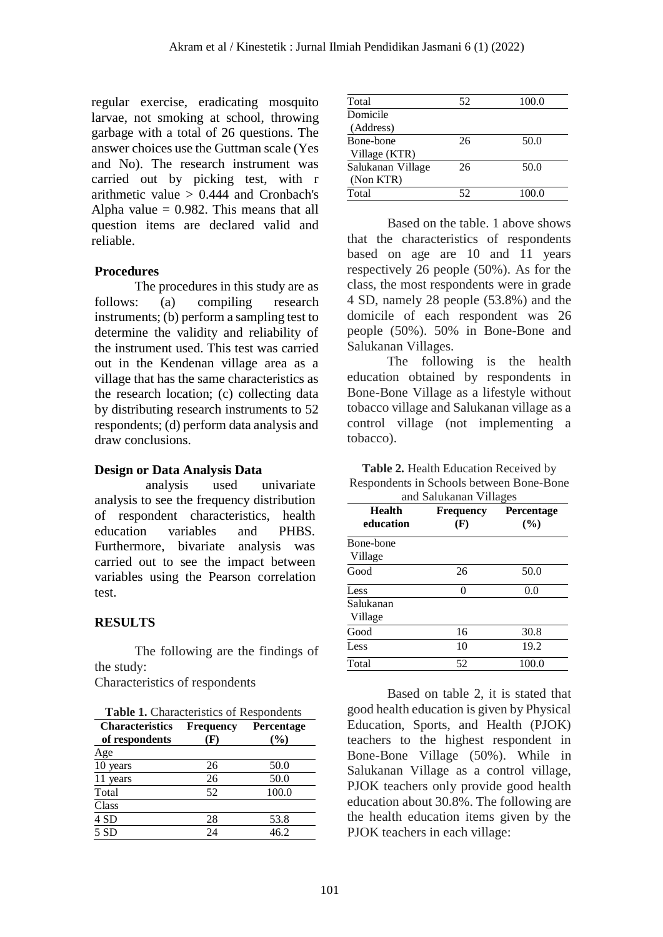regular exercise, eradicating mosquito larvae, not smoking at school, throwing garbage with a total of 26 questions. The answer choices use the Guttman scale (Yes and No). The research instrument was carried out by picking test, with r arithmetic value  $> 0.444$  and Cronbach's Alpha value  $= 0.982$ . This means that all question items are declared valid and reliable.

### **Procedures**

The procedures in this study are as follows: (a) compiling research instruments; (b) perform a sampling test to determine the validity and reliability of the instrument used. This test was carried out in the Kendenan village area as a village that has the same characteristics as the research location; (c) collecting data by distributing research instruments to 52 respondents; (d) perform data analysis and draw conclusions.

### **Design or Data Analysis Data**

analysis used univariate analysis to see the frequency distribution of respondent characteristics, health education variables and PHBS. Furthermore, bivariate analysis was carried out to see the impact between variables using the Pearson correlation test.

### **RESULTS**

The following are the findings of the study:

Characteristics of respondents

| <b>Table 1.</b> Characteristics of Respondents |           |                   |  |  |
|------------------------------------------------|-----------|-------------------|--|--|
| <b>Characteristics</b>                         | Frequency | <b>Percentage</b> |  |  |
| of respondents                                 | (F)       | $(\%)$            |  |  |
| Age                                            |           |                   |  |  |
| 10 years                                       | 26        | 50.0              |  |  |
| 11 years                                       | 26        | 50.0              |  |  |
| Total                                          | 52        | 100.0             |  |  |
| Class                                          |           |                   |  |  |
| 4 SD                                           | 28        | 53.8              |  |  |
| 5SD                                            | 24        | 46.2              |  |  |

| Total             | 52 | 100.0 |
|-------------------|----|-------|
| Domicile          |    |       |
| (Address)         |    |       |
| Bone-bone         | 26 | 50.0  |
| Village (KTR)     |    |       |
| Salukanan Village | 26 | 50.0  |
| (Non KTR)         |    |       |
| Total             | 52 | 100.0 |

Based on the table. 1 above shows that the characteristics of respondents based on age are 10 and 11 years respectively 26 people (50%). As for the class, the most respondents were in grade 4 SD, namely 28 people (53.8%) and the domicile of each respondent was 26 people (50%). 50% in Bone-Bone and Salukanan Villages.

The following is the health education obtained by respondents in Bone-Bone Village as a lifestyle without tobacco village and Salukanan village as a control village (not implementing a tobacco).

**Table 2.** Health Education Received by Respondents in Schools between Bone-Bone  $\overline{a}$  C<sub>alu</sub>t<sub>i</sub>

| <b>Health</b><br>education | <b>Frequency</b><br>(F) | Percentage |  |
|----------------------------|-------------------------|------------|--|
| Bone-bone<br>Village       |                         | (%)        |  |
| Good                       | 26                      | 50.0       |  |
| Less                       | 0                       | 0.0        |  |
| Salukanan<br>Village       |                         |            |  |
| Good                       | 16                      | 30.8       |  |
| Less                       | 10                      | 19.2       |  |
| Total                      | 52                      | 100.0      |  |

Based on table 2, it is stated that good health education is given by Physical Education, Sports, and Health (PJOK) teachers to the highest respondent in Bone-Bone Village (50%). While in Salukanan Village as a control village, PJOK teachers only provide good health education about 30.8%. The following are the health education items given by the PJOK teachers in each village: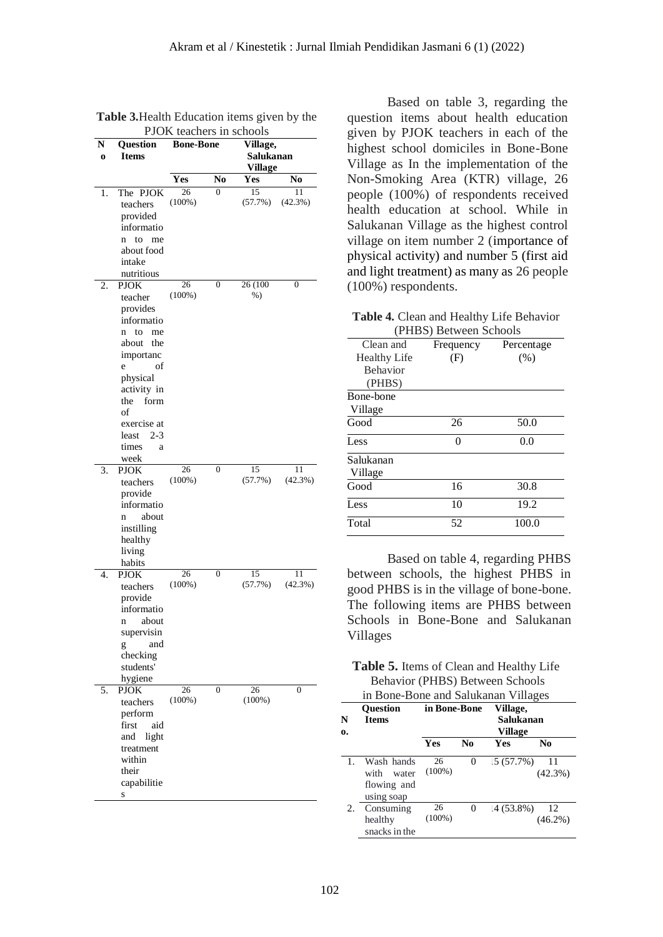|         |                         | <b>FJON</b> reachers in schools |                |           |                  |
|---------|-------------------------|---------------------------------|----------------|-----------|------------------|
| N       | Question                | <b>Bone-Bone</b>                |                | Village,  |                  |
| $\bf o$ | <b>Items</b>            |                                 |                | Salukanan |                  |
|         |                         |                                 |                | Village   |                  |
|         |                         | Yes                             | No             | Yes       | No               |
| 1.      | The PJOK                | 26                              | 0              | 15        | 11               |
|         | teachers                | $(100\%)$                       |                | (57.7%)   | (42.3%)          |
|         | provided                |                                 |                |           |                  |
|         | informatio              |                                 |                |           |                  |
|         | to<br>me<br>n           |                                 |                |           |                  |
|         | about food              |                                 |                |           |                  |
|         | intake                  |                                 |                |           |                  |
|         | nutritious              |                                 |                |           |                  |
| 2.      | <b>PJOK</b>             | 26                              | 0              | 26(100)   | $\boldsymbol{0}$ |
|         | teacher                 | $(100\%)$                       |                | $%$ )     |                  |
|         | provides                |                                 |                |           |                  |
|         | informatio              |                                 |                |           |                  |
|         | to<br>$\mathbf n$<br>me |                                 |                |           |                  |
|         | about<br>the            |                                 |                |           |                  |
|         | importanc               |                                 |                |           |                  |
|         | of<br>e                 |                                 |                |           |                  |
|         | physical                |                                 |                |           |                  |
|         | activity in             |                                 |                |           |                  |
|         | the<br>form             |                                 |                |           |                  |
|         | of                      |                                 |                |           |                  |
|         | exercise at             |                                 |                |           |                  |
|         | $2 - 3$<br>least        |                                 |                |           |                  |
|         | times<br>a              |                                 |                |           |                  |
|         | week                    |                                 |                |           |                  |
| 3.      | PJOK                    | 26                              | $\overline{0}$ | 15        | 11               |
|         | teachers                | $(100\%)$                       |                | (57.7%)   | (42.3%)          |
|         | provide                 |                                 |                |           |                  |
|         | informatio              |                                 |                |           |                  |
|         | about<br>n              |                                 |                |           |                  |
|         | instilling              |                                 |                |           |                  |
|         | healthy                 |                                 |                |           |                  |
|         | living                  |                                 |                |           |                  |
|         | habits                  |                                 |                |           |                  |
| 4.      | <b>PJOK</b>             | 26                              | 0              | 15        | 11               |
|         | teachers                | $(100\%)$                       |                | (57.7%)   | (42.3%)          |
|         | provide                 |                                 |                |           |                  |
|         | informatio              |                                 |                |           |                  |
|         | about<br>n              |                                 |                |           |                  |
|         | supervisin              |                                 |                |           |                  |
|         | and<br>g                |                                 |                |           |                  |
|         | checking                |                                 |                |           |                  |
|         | students'               |                                 |                |           |                  |
|         | hygiene                 |                                 |                |           |                  |
| 5.      | <b>PJOK</b>             | 26                              | $\overline{0}$ | 26        | $\overline{0}$   |
|         | teachers                | $(100\%)$                       |                | $(100\%)$ |                  |
|         | perform                 |                                 |                |           |                  |
|         | first<br>aid            |                                 |                |           |                  |
|         | and<br>light            |                                 |                |           |                  |
|         | treatment               |                                 |                |           |                  |
|         | within                  |                                 |                |           |                  |
|         | their                   |                                 |                |           |                  |
|         | capabilitie             |                                 |                |           |                  |
|         | S                       |                                 |                |           |                  |

**Table 3.**Health Education items given by the PJOK teachers in schools

Based on table 3, regarding the question items about health education given by PJOK teachers in each of the highest school domiciles in Bone-Bone Village as In the implementation of the Non-Smoking Area (KTR) village, 26 people (100%) of respondents received health education at school. While in Salukanan Village as the highest control village on item number 2 (importance of physical activity) and number 5 (first aid and light treatment) as many as 26 people (100%) respondents.

| Table 4. Clean and Healthy Life Behavior |
|------------------------------------------|
| (PHBS) Between Schools                   |

| Clean and           | (1 HDD) Detween Denoons<br>Frequency | Percentage |
|---------------------|--------------------------------------|------------|
| <b>Healthy Life</b> | (F)                                  | (% )       |
| <b>Behavior</b>     |                                      |            |
| (PHBS)              |                                      |            |
| Bone-bone           |                                      |            |
| Village             |                                      |            |
| Good                | 26                                   | 50.0       |
| Less                | 0                                    | 0.0        |
| Salukanan           |                                      |            |
| Village             |                                      |            |
| Good                | 16                                   | 30.8       |
| Less                | 10                                   | 19.2       |
| Total               | 52                                   | 100.0      |
|                     |                                      |            |

Based on table 4, regarding PHBS between schools, the highest PHBS in good PHBS is in the village of bone-bone. The following items are PHBS between Schools in Bone-Bone and Salukanan Villages

| <b>Table 5.</b> Items of Clean and Healthy Life |  |
|-------------------------------------------------|--|
| Behavior (PHBS) Between Schools                 |  |

|         | in Bone-Bone and Salukanan Villages                      |                 |          |                                         |                  |
|---------|----------------------------------------------------------|-----------------|----------|-----------------------------------------|------------------|
| N<br>0. | <b>Question</b><br><b>Items</b>                          | in Bone-Bone    |          | Village,<br>Salukanan<br><b>Village</b> |                  |
|         |                                                          | <b>Yes</b>      | No       | Yes                                     | No               |
| 1.      | Wash hands<br>with<br>water<br>flowing and<br>using soap | 26<br>$(100\%)$ | $\Omega$ | 15(57.7%)                               | 11<br>$(42.3\%)$ |
| 2.      | Consuming<br>healthy<br>snacks in the                    | 26<br>$(100\%)$ | $\Omega$ | (4(53.8%)                               | 12<br>$(46.2\%)$ |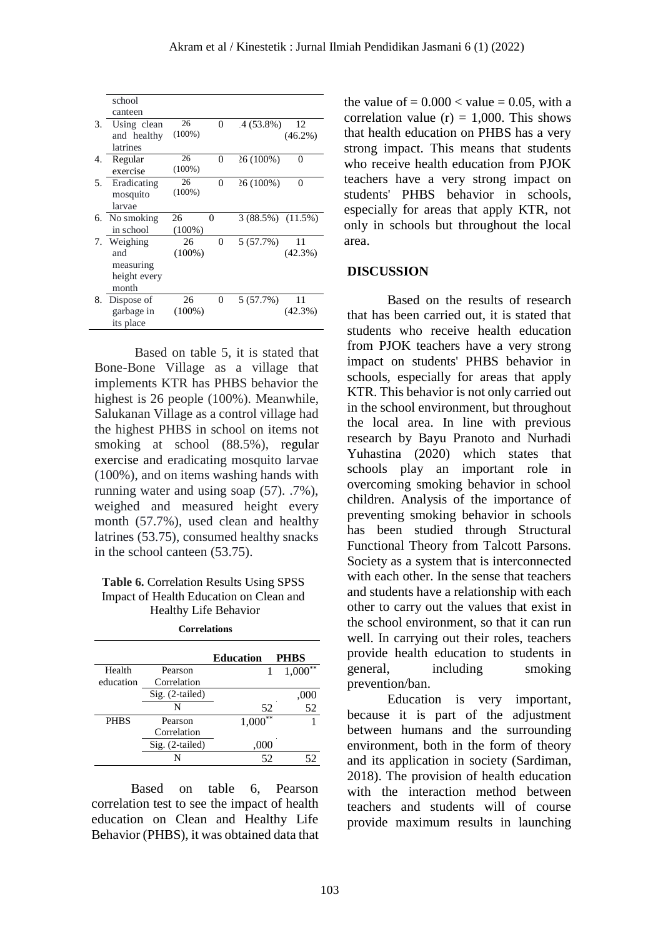|    | school        |           |          |                   |            |
|----|---------------|-----------|----------|-------------------|------------|
|    | canteen       |           |          |                   |            |
| 3. | Using clean   | 26        | $\Omega$ | 4 (53.8%)         | 12         |
|    | and healthy   | $(100\%)$ |          |                   | $(46.2\%)$ |
|    | latrines      |           |          |                   |            |
| 4. | Regular       | 26        | $\Omega$ | 26 (100%)         | 0          |
|    | exercise      | $(100\%)$ |          |                   |            |
| 5. | Eradicating   | 26        | $\Omega$ | 26 (100%)         | 0          |
|    | mosquito      | $(100\%)$ |          |                   |            |
|    | larvae        |           |          |                   |            |
|    | 6. No smoking | 26        | 0        | 3 (88.5%) (11.5%) |            |
|    | in school     | $(100\%)$ |          |                   |            |
|    | 7. Weighing   | 26        | 0        | 5 (57.7%)         | 11         |
|    | and           | $(100\%)$ |          |                   | $(42.3\%)$ |
|    | measuring     |           |          |                   |            |
|    |               |           |          |                   |            |
|    | height every  |           |          |                   |            |
|    | month         |           |          |                   |            |
| 8. | Dispose of    | 26        | 0        | 5(57.7%)          | 11         |
|    | garbage in    | $(100\%)$ |          |                   | $(42.3\%)$ |

Based on table 5, it is stated that Bone-Bone Village as a village that implements KTR has PHBS behavior the highest is 26 people (100%). Meanwhile, Salukanan Village as a control village had the highest PHBS in school on items not smoking at school (88.5%), regular exercise and eradicating mosquito larvae (100%), and on items washing hands with running water and using soap (57). .7%), weighed and measured height every month (57.7%), used clean and healthy latrines (53.75), consumed healthy snacks in the school canteen (53.75).

#### **Table 6.** Correlation Results Using SPSS Impact of Health Education on Clean and Healthy Life Behavior

|                 | <b>Education</b> | <b>PHBS</b>                      |
|-----------------|------------------|----------------------------------|
| Pearson         |                  | $1,000^{**}$                     |
| Correlation     |                  |                                  |
| Sig. (2-tailed) |                  | ,000                             |
| N               |                  | $\overline{52}$                  |
| Pearson         |                  |                                  |
| Correlation     |                  |                                  |
| Sig. (2-tailed) |                  |                                  |
|                 |                  |                                  |
|                 |                  | 52<br>$1,000^{**}$<br>.000<br>52 |

Based on table 6 Pearson correlation test to see the impact of health education on Clean and Healthy Life Behavior (PHBS), it was obtained data that the value of  $= 0.000 <$  value  $= 0.05$ , with a correlation value  $(r) = 1,000$ . This shows that health education on PHBS has a very strong impact. This means that students who receive health education from PJOK teachers have a very strong impact on students' PHBS behavior in schools, especially for areas that apply KTR, not only in schools but throughout the local area.

#### **DISCUSSION**

Based on the results of research that has been carried out, it is stated that students who receive health education from PJOK teachers have a very strong impact on students' PHBS behavior in schools, especially for areas that apply KTR. This behavior is not only carried out in the school environment, but throughout the local area. In line with previous research by Bayu Pranoto and Nurhadi Yuhastina (2020) which states that schools play an important role in overcoming smoking behavior in school children. Analysis of the importance of preventing smoking behavior in schools has been studied through Structural Functional Theory from Talcott Parsons. Society as a system that is interconnected with each other. In the sense that teachers and students have a relationship with each other to carry out the values that exist in the school environment, so that it can run well. In carrying out their roles, teachers provide health education to students in general, including smoking prevention/ban.

Education is very important, because it is part of the adjustment between humans and the surrounding environment, both in the form of theory and its application in society (Sardiman, 2018). The provision of health education with the interaction method between teachers and students will of course provide maximum results in launching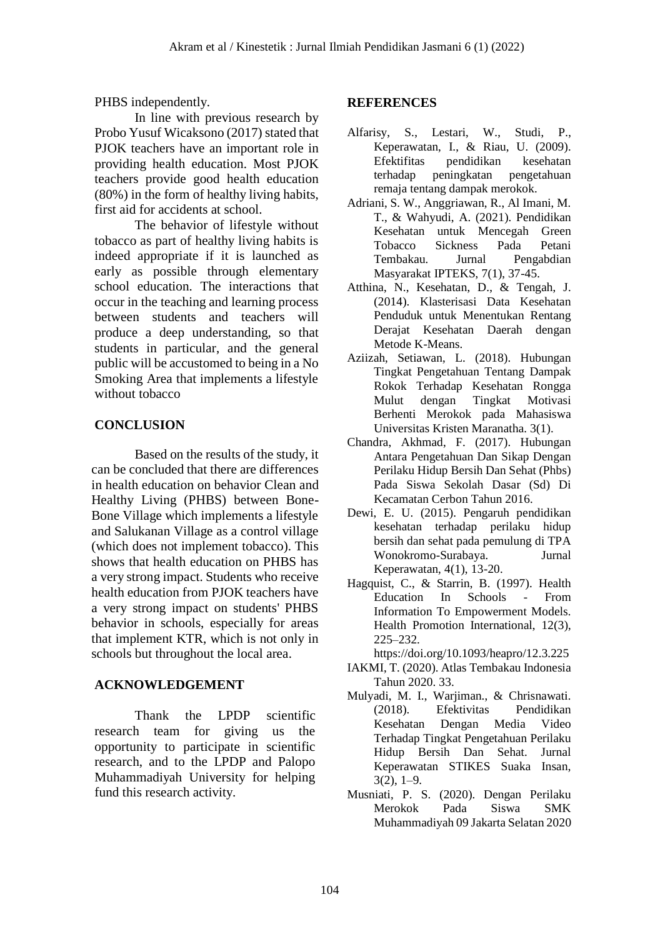PHBS independently.

In line with previous research by Probo Yusuf Wicaksono (2017) stated that PJOK teachers have an important role in providing health education. Most PJOK teachers provide good health education (80%) in the form of healthy living habits, first aid for accidents at school.

The behavior of lifestyle without tobacco as part of healthy living habits is indeed appropriate if it is launched as early as possible through elementary school education. The interactions that occur in the teaching and learning process between students and teachers will produce a deep understanding, so that students in particular, and the general public will be accustomed to being in a No Smoking Area that implements a lifestyle without tobacco

### **CONCLUSION**

Based on the results of the study, it can be concluded that there are differences in health education on behavior Clean and Healthy Living (PHBS) between Bone-Bone Village which implements a lifestyle and Salukanan Village as a control village (which does not implement tobacco). This shows that health education on PHBS has a very strong impact. Students who receive health education from PJOK teachers have a very strong impact on students' PHBS behavior in schools, especially for areas that implement KTR, which is not only in schools but throughout the local area.

### **ACKNOWLEDGEMENT**

Thank the LPDP scientific research team for giving us the opportunity to participate in scientific research, and to the LPDP and Palopo Muhammadiyah University for helping fund this research activity.

### **REFERENCES**

- Alfarisy, S., Lestari, W., Studi, P., Keperawatan, I., & Riau, U. (2009). Efektifitas pendidikan kesehatan terhadap peningkatan pengetahuan remaja tentang dampak merokok.
- Adriani, S. W., Anggriawan, R., Al Imani, M. T., & Wahyudi, A. (2021). Pendidikan Kesehatan untuk Mencegah Green Tobacco Sickness Pada Petani Tembakau. Jurnal Pengabdian Masyarakat IPTEKS, 7(1), 37-45.
- Atthina, N., Kesehatan, D., & Tengah, J. (2014). Klasterisasi Data Kesehatan Penduduk untuk Menentukan Rentang Derajat Kesehatan Daerah dengan Metode K-Means.
- Aziizah, Setiawan, L. (2018). Hubungan Tingkat Pengetahuan Tentang Dampak Rokok Terhadap Kesehatan Rongga Mulut dengan Tingkat Motivasi Berhenti Merokok pada Mahasiswa Universitas Kristen Maranatha. 3(1).
- Chandra, Akhmad, F. (2017). Hubungan Antara Pengetahuan Dan Sikap Dengan Perilaku Hidup Bersih Dan Sehat (Phbs) Pada Siswa Sekolah Dasar (Sd) Di Kecamatan Cerbon Tahun 2016.
- Dewi, E. U. (2015). Pengaruh pendidikan kesehatan terhadap perilaku hidup bersih dan sehat pada pemulung di TPA Wonokromo-Surabaya. Jurnal Keperawatan, 4(1), 13-20.
- Hagquist, C., & Starrin, B. (1997). Health Education In Schools - From Information To Empowerment Models. Health Promotion International, 12(3), 225–232.

https://doi.org/10.1093/heapro/12.3.225

- IAKMI, T. (2020). Atlas Tembakau Indonesia Tahun 2020. 33.
- Mulyadi, M. I., Warjiman., & Chrisnawati. (2018). Efektivitas Pendidikan Kesehatan Dengan Media Video Terhadap Tingkat Pengetahuan Perilaku Hidup Bersih Dan Sehat. Jurnal Keperawatan STIKES Suaka Insan, 3(2), 1–9.
- Musniati, P. S. (2020). Dengan Perilaku Merokok Pada Siswa SMK Muhammadiyah 09 Jakarta Selatan 2020